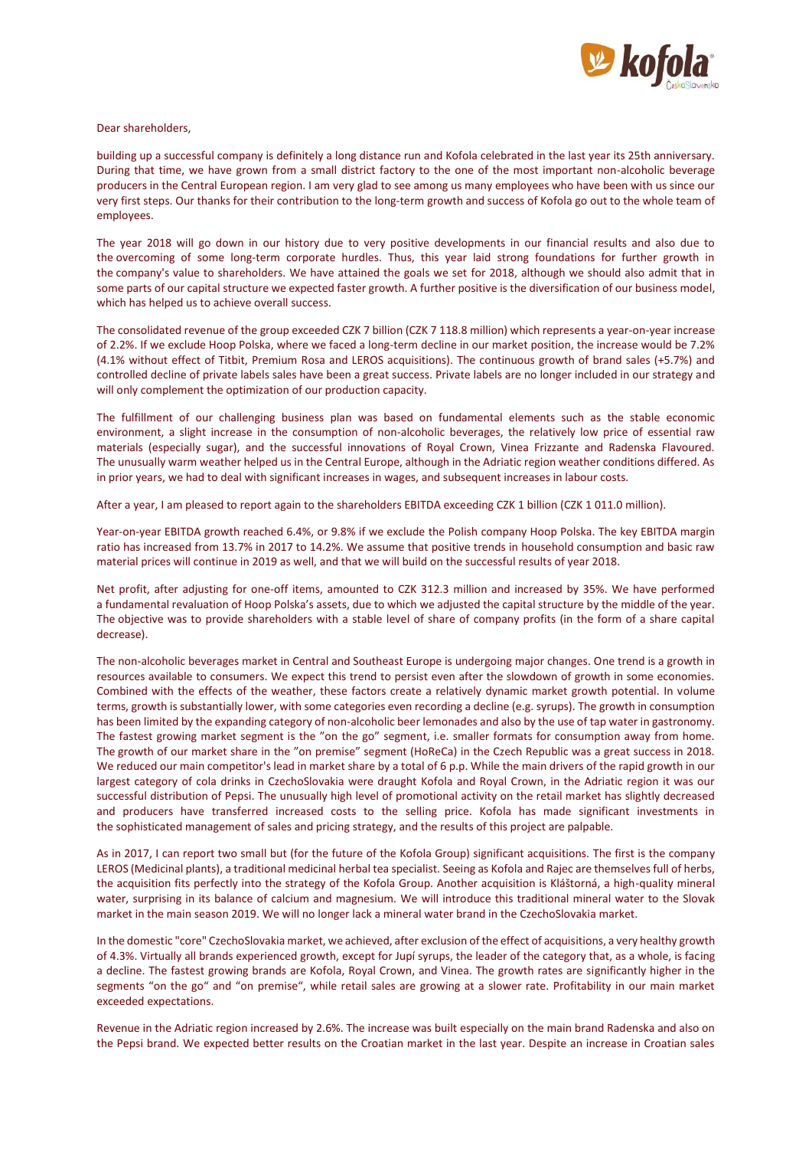

Dear shareholders,

building up a successful company is definitely a long distance run and Kofola celebrated in the last year its 25th anniversary. During that time, we have grown from a small district factory to the one of the most important non-alcoholic beverage producers in the Central European region. I am very glad to see among us many employees who have been with us since our very first steps. Our thanks for their contribution to the long-term growth and success of Kofola go out to the whole team of employees.

The year 2018 will go down in our history due to very positive developments in our financial results and also due to the overcoming of some long-term corporate hurdles. Thus, this year laid strong foundations for further growth in the company's value to shareholders. We have attained the goals we set for 2018, although we should also admit that in some parts of our capital structure we expected faster growth. A further positive is the diversification of our business model, which has helped us to achieve overall success.

The consolidated revenue of the group exceeded CZK 7 billion (CZK 7 118.8 million) which represents a year-on-year increase of 2.2%. If we exclude Hoop Polska, where we faced a long-term decline in our market position, the increase would be 7.2% (4.1% without effect of Titbit, Premium Rosa and LEROS acquisitions). The continuous growth of brand sales (+5.7%) and controlled decline of private labels sales have been a great success. Private labels are no longer included in our strategy and will only complement the optimization of our production capacity.

The fulfillment of our challenging business plan was based on fundamental elements such as the stable economic environment, a slight increase in the consumption of non-alcoholic beverages, the relatively low price of essential raw materials (especially sugar), and the successful innovations of Royal Crown, Vinea Frizzante and Radenska Flavoured. The unusually warm weather helped us in the Central Europe, although in the Adriatic region weather conditions differed. As in prior years, we had to deal with significant increases in wages, and subsequent increases in labour costs.

After a year, I am pleased to report again to the shareholders EBITDA exceeding CZK 1 billion (CZK 1 011.0 million).

Year-on-year EBITDA growth reached 6.4%, or 9.8% if we exclude the Polish company Hoop Polska. The key EBITDA margin ratio has increased from 13.7% in 2017 to 14.2%. We assume that positive trends in household consumption and basic raw material prices will continue in 2019 as well, and that we will build on the successful results of year 2018.

Net profit, after adjusting for one-off items, amounted to CZK 312.3 million and increased by 35%. We have performed a fundamental revaluation of Hoop Polska's assets, due to which we adjusted the capital structure by the middle of the year. The objective was to provide shareholders with a stable level of share of company profits (in the form of a share capital decrease).

The non-alcoholic beverages market in Central and Southeast Europe is undergoing major changes. One trend is a growth in resources available to consumers. We expect this trend to persist even after the slowdown of growth in some economies. Combined with the effects of the weather, these factors create a relatively dynamic market growth potential. In volume terms, growth is substantially lower, with some categories even recording a decline (e.g. syrups). The growth in consumption has been limited by the expanding category of non-alcoholic beer lemonades and also by the use of tap water in gastronomy. The fastest growing market segment is the "on the go" segment, i.e. smaller formats for consumption away from home. The growth of our market share in the "on premise" segment (HoReCa) in the Czech Republic was a great success in 2018. We reduced our main competitor's lead in market share by a total of 6 p.p. While the main drivers of the rapid growth in our largest category of cola drinks in CzechoSlovakia were draught Kofola and Royal Crown, in the Adriatic region it was our successful distribution of Pepsi. The unusually high level of promotional activity on the retail market has slightly decreased and producers have transferred increased costs to the selling price. Kofola has made significant investments in the sophisticated management of sales and pricing strategy, and the results of this project are palpable.

As in 2017, I can report two small but (for the future of the Kofola Group) significant acquisitions. The first is the company LEROS (Medicinal plants), a traditional medicinal herbal tea specialist. Seeing as Kofola and Rajec are themselves full of herbs, the acquisition fits perfectly into the strategy of the Kofola Group. Another acquisition is Kláštorná, a high-quality mineral water, surprising in its balance of calcium and magnesium. We will introduce this traditional mineral water to the Slovak market in the main season 2019. We will no longer lack a mineral water brand in the CzechoSlovakia market.

In the domestic "core" CzechoSlovakia market, we achieved, after exclusion of the effect of acquisitions, a very healthy growth of 4.3%. Virtually all brands experienced growth, except for Jupí syrups, the leader of the category that, as a whole, is facing a decline. The fastest growing brands are Kofola, Royal Crown, and Vinea. The growth rates are significantly higher in the segments "on the go" and "on premise", while retail sales are growing at a slower rate. Profitability in our main market exceeded expectations.

Revenue in the Adriatic region increased by 2.6%. The increase was built especially on the main brand Radenska and also on the Pepsi brand. We expected better results on the Croatian market in the last year. Despite an increase in Croatian sales